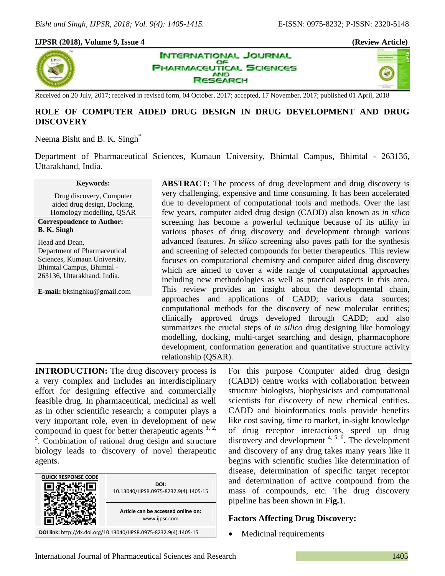### **IJPSR (2018), Volume 9, Issue 4 (Review Article)**







Received on 20 July, 2017; received in revised form, 04 October, 2017; accepted, 17 November, 2017; published 01 April, 2018

# **ROLE OF COMPUTER AIDED DRUG DESIGN IN DRUG DEVELOPMENT AND DRUG DISCOVERY**

## Neema Bisht and B. K. Singh<sup>\*</sup>

Department of Pharmaceutical Sciences, Kumaun University, Bhimtal Campus, Bhimtal - 263136, Uttarakhand, India.

#### **Keywords:**

Drug discovery, Computer aided drug design, Docking, Homology modelling, QSAR

#### **Correspondence to Author: B. K. Singh**

Head and Dean, Department of Pharmaceutical Sciences, Kumaun University, Bhimtal Campus, Bhimtal - 263136, Uttarakhand, India.

**E-mail:** bksinghku@gmail.com

**ABSTRACT:** The process of drug development and drug discovery is very challenging, expensive and time consuming. It has been accelerated due to development of computational tools and methods. Over the last few years, computer aided drug design (CADD) also known as *in silico*  screening has become a powerful technique because of its utility in various phases of drug discovery and development through various advanced features. *In silico* screening also paves path for the synthesis and screening of selected compounds for better therapeutics. This review focuses on computational chemistry and computer aided drug discovery which are aimed to cover a wide range of computational approaches including new methodologies as well as practical aspects in this area. This review provides an insight about the developmental chain, approaches and applications of CADD; various data sources; computational methods for the discovery of new molecular entities; clinically approved drugs developed through CADD; and also summarizes the crucial steps of *in silico* drug designing like homology modelling, docking, multi-target searching and design, pharmacophore development, conformation generation and quantitative structure activity relationship (QSAR).

**INTRODUCTION:** The drug discovery process is a very complex and includes an interdisciplinary effort for designing effective and commercially feasible drug. In pharmaceutical, medicinal as well as in other scientific research; a computer plays a very important role, even in development of new compound in quest for better therapeutic agents  $1, 2$ , <sup>3</sup>. Combination of rational drug design and structure biology leads to discovery of novel therapeutic agents.



For this purpose Computer aided drug design (CADD) centre works with collaboration between structure biologists, biophysicists and computational scientists for discovery of new chemical entities. CADD and bioinformatics tools provide benefits like cost saving, time to market, in-sight knowledge of drug receptor interactions, speed up drug discovery and development <sup>4, 5, 6</sup>. The development and discovery of any drug takes many years like it begins with scientific studies like determination of disease, determination of specific target receptor and determination of active compound from the mass of compounds, etc. The drug discovery pipeline has been shown in **Fig.1**.

## **Factors Affecting Drug Discovery:**

• Medicinal requirements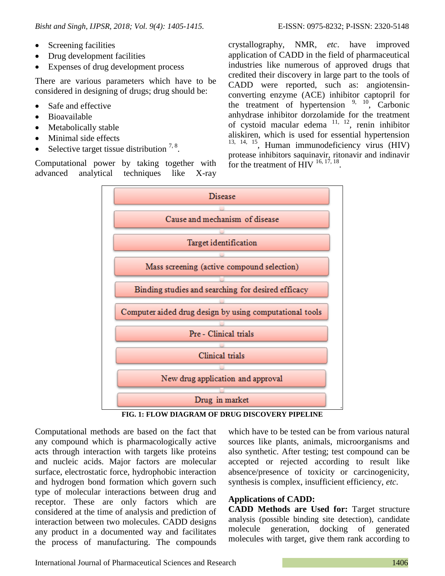- Screening facilities
- Drug development facilities
- Expenses of drug development process

There are various parameters which have to be considered in designing of drugs; drug should be:

- Safe and effective
- Bioavailable
- Metabolically stable
- Minimal side effects
- Selective target tissue distribution  $7, 8$ .

Computational power by taking together with advanced analytical techniques like X-ray crystallography, NMR, *etc*. have improved application of CADD in the field of pharmaceutical

industries like numerous of approved drugs that credited their discovery in large part to the tools of CADD were reported, such as: angiotensinconverting enzyme (ACE) inhibitor captopril for the treatment of hypertension  $9, 10, 10$  Carbonic anhydrase inhibitor dorzolamide for the treatment of cystoid macular edema  $11, 12$ , renin inhibitor aliskiren, which is used for essential hypertension  $13, 14, 15$ , Human immunodeficiency virus (HIV) protease inhibitors saquinavir, ritonavir and indinavir for the treatment of  $\overline{H}$ IV  $^{16, 17, 18}$ .



**FIG. 1: FLOW DIAGRAM OF DRUG DISCOVERY PIPELINE**

Computational methods are based on the fact that any compound which is pharmacologically active acts through interaction with targets like proteins and nucleic acids. Major factors are molecular surface, electrostatic force, hydrophobic interaction and hydrogen bond formation which govern such type of molecular interactions between drug and receptor. These are only factors which are considered at the time of analysis and prediction of interaction between two molecules. CADD designs any product in a documented way and facilitates the process of manufacturing. The compounds

which have to be tested can be from various natural sources like plants, animals, microorganisms and also synthetic. After testing; test compound can be accepted or rejected according to result like absence/presence of toxicity or carcinogenicity, synthesis is complex, insufficient efficiency, *etc*.

## **Applications of CADD:**

**CADD Methods are Used for:** Target structure analysis (possible binding site detection), candidate molecule generation, docking of generated molecules with target, give them rank according to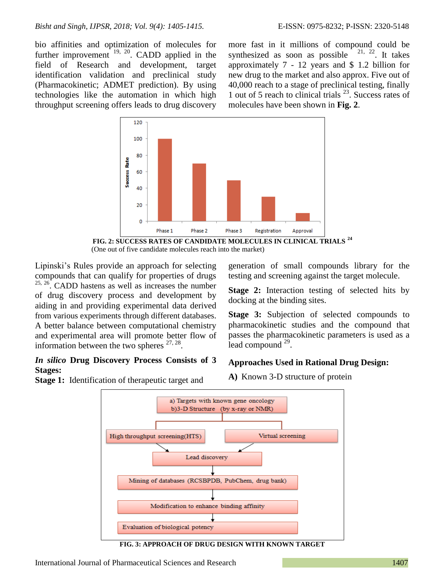bio affinities and optimization of molecules for further improvement  $19, 20$ . CADD applied in the field of Research and development, target identification validation and preclinical study (Pharmacokinetic; ADMET prediction). By using technologies like the automation in which high throughput screening offers leads to drug discovery

more fast in it millions of compound could be synthesized as soon as possible  $21, 22$ . It takes approximately 7 - 12 years and \$ 1.2 billion for new drug to the market and also approx. Five out of 40,000 reach to a stage of preclinical testing, finally 1 out of 5 reach to clinical trials <sup>23</sup> . Success rates of molecules have been shown in **Fig. 2**.



**FIG. 2: SUCCESS RATES OF CANDIDATE MOLECULES IN CLINICAL TRIALS <sup>24</sup>** (One out of five candidate molecules reach into the market)

Lipinski's Rules provide an approach for selecting compounds that can qualify for properties of drugs  $25, 26$ . CADD hastens as well as increases the number of drug discovery process and development by aiding in and providing experimental data derived from various experiments through different databases. A better balance between computational chemistry and experimental area will promote better flow of information between the two spheres  $27, 28$ .

## *In silico* **Drug Discovery Process Consists of 3 Stages:**

**Stage 1:** Identification of therapeutic target and

generation of small compounds library for the testing and screening against the target molecule.

**Stage 2:** Interaction testing of selected hits by docking at the binding sites.

**Stage 3:** Subjection of selected compounds to pharmacokinetic studies and the compound that passes the pharmacokinetic parameters is used as a lead compound  $29$ .

# **Approaches Used in Rational Drug Design:**

**A)** Known 3-D structure of protein



**FIG. 3: APPROACH OF DRUG DESIGN WITH KNOWN TARGET**

International Journal of Pharmaceutical Sciences and Research 1407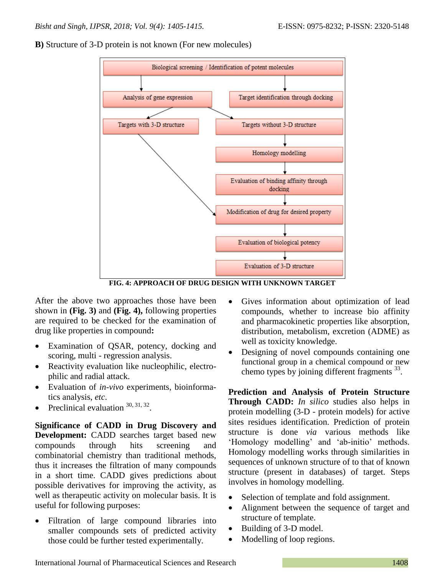



**FIG. 4: APPROACH OF DRUG DESIGN WITH UNKNOWN TARGET**

After the above two approaches those have been shown in **(Fig. 3)** and **(Fig. 4),** following properties are required to be checked for the examination of drug like properties in compound**:**

- Examination of QSAR, potency, docking and scoring, multi - regression analysis.
- Reactivity evaluation like nucleophilic, electrophilic and radial attack.
- Evaluation of *in-vivo* experiments, bioinformatics analysis, *etc*.
- Preclinical evaluation  $30, 31, 32$ .

**Significance of CADD in Drug Discovery and Development:** CADD searches target based new compounds through hits screening and combinatorial chemistry than traditional methods, thus it increases the filtration of many compounds in a short time. CADD gives predictions about possible derivatives for improving the activity, as well as therapeutic activity on molecular basis. It is useful for following purposes:

 Filtration of large compound libraries into smaller compounds sets of predicted activity those could be further tested experimentally.

- Gives information about optimization of lead compounds, whether to increase bio affinity and pharmacokinetic properties like absorption, distribution, metabolism, excretion (ADME) as well as toxicity knowledge.
- Designing of novel compounds containing one functional group in a chemical compound or new chemo types by joining different fragments <sup>33</sup>.

**Prediction and Analysis of Protein Structure Through CADD:** *In silico* studies also helps in protein modelling (3-D - protein models) for active sites residues identification. Prediction of protein structure is done *via* various methods like 'Homology modelling' and 'ab-initio' methods. Homology modelling works through similarities in sequences of unknown structure of to that of known structure (present in databases) of target. Steps involves in homology modelling.

- Selection of template and fold assignment.
- Alignment between the sequence of target and structure of template.
- Building of 3-D model.
- Modelling of loop regions.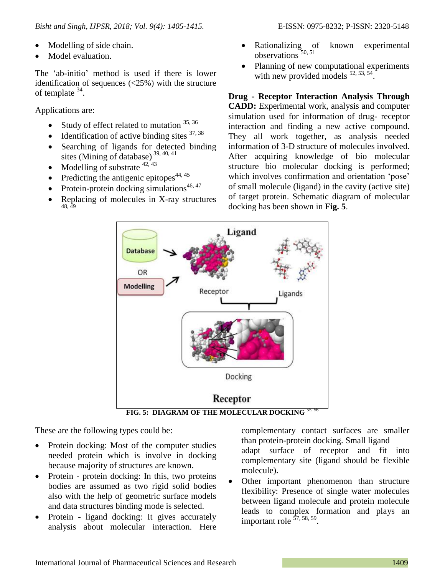- Modelling of side chain.
- Model evaluation.

The 'ab-initio' method is used if there is lower identification of sequences  $\left( \langle 25\% \rangle \right)$  with the structure of template <sup>34</sup>.

Applications are:

- Study of effect related to mutation  $35,36$
- $\bullet$  Identification of active binding sites  $37,38$
- Searching of ligands for detected binding sites (Mining of database) 39, 40, <sup>41</sup>
- Modelling of substrate  $42, 43$
- Predicting the antigenic epitopes<sup> $44, 45$ </sup>
- Protein-protein docking simulations<sup>46, 47</sup>
- Replacing of molecules in X-ray structures 48, 49
- Rationalizing of known experimental observations 50, <sup>51</sup>
- Planning of new computational experiments with new provided models  $52, 53, 54$ .

**Drug - Receptor Interaction Analysis Through CADD:** Experimental work, analysis and computer simulation used for information of drug- receptor interaction and finding a new active compound. They all work together, as analysis needed information of 3-D structure of molecules involved. After acquiring knowledge of bio molecular structure bio molecular docking is performed; which involves confirmation and orientation 'pose' of small molecule (ligand) in the cavity (active site) of target protein. Schematic diagram of molecular docking has been shown in **Fig. 5**.



These are the following types could be:

- Protein docking: Most of the computer studies needed protein which is involve in docking because majority of structures are known.
- Protein protein docking: In this, two proteins bodies are assumed as two rigid solid bodies also with the help of geometric surface models and data structures binding mode is selected.
- Protein ligand docking: It gives accurately analysis about molecular interaction. Here

complementary contact surfaces are smaller than protein-protein docking. Small ligand adapt surface of receptor and fit into complementary site (ligand should be flexible molecule).

 Other important phenomenon than structure flexibility: Presence of single water molecules between ligand molecule and protein molecule leads to complex formation and plays an important role <sup>57, 58, 59</sup>.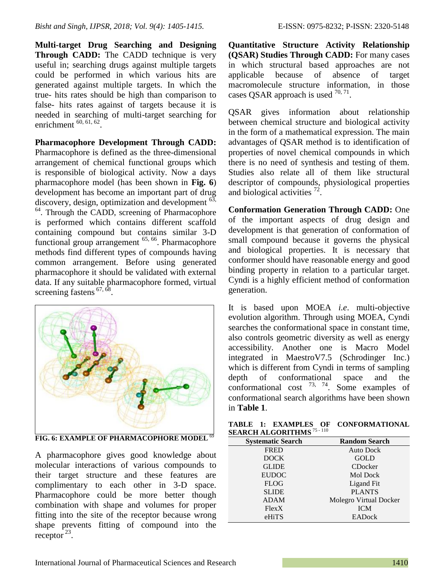**Multi-target Drug Searching and Designing Through CADD:** The CADD technique is very useful in; searching drugs against multiple targets could be performed in which various hits are generated against multiple targets. In which the true- hits rates should be high than comparison to false- hits rates against of targets because it is needed in searching of multi-target searching for enrichment  $^{60, 61, 62}$ .

**Pharmacophore Development Through CADD:** Pharmacophore is defined as the three-dimensional

arrangement of chemical functional groups which is responsible of biological activity. Now a days pharmacophore model (has been shown in **Fig. 6**) development has become an important part of drug discovery, design, optimization and development <sup>63,</sup> 64 . Through the CADD, screening of Pharmacophore is performed which contains different scaffold containing compound but contains similar 3-D functional group arrangement <sup>65, 66</sup>. Pharmacophore methods find different types of compounds having common arrangement. Before using generated pharmacophore it should be validated with external data. If any suitable pharmacophore formed, virtual screening fastens  $67, 68$ .



FIG. 6: EXAMPLE OF PHARMACOPHORE MODEL<sup>69</sup>

A pharmacophore gives good knowledge about molecular interactions of various compounds to their target structure and these features are complimentary to each other in 3-D space. Pharmacophore could be more better though combination with shape and volumes for proper fitting into the site of the receptor because wrong shape prevents fitting of compound into the  $receptor^{23}$ .

**Quantitative Structure Activity Relationship (QSAR) Studies Through CADD:** For many cases in which structural based approaches are not applicable because of absence of target macromolecule structure information, in those cases QSAR approach is used  $^{70, 71}$ .

QSAR gives information about relationship between chemical structure and biological activity in the form of a mathematical expression. The main advantages of QSAR method is to identification of properties of novel chemical compounds in which there is no need of synthesis and testing of them. Studies also relate all of them like structural descriptor of compounds, physiological properties and biological activities  $^{72}$ .

**Conformation Generation Through CADD:** One of the important aspects of drug design and development is that generation of conformation of small compound because it governs the physical and biological properties. It is necessary that conformer should have reasonable energy and good binding property in relation to a particular target. Cyndi is a highly efficient method of conformation generation.

It is based upon MOEA *i.e*. multi-objective evolution algorithm. Through using MOEA, Cyndi searches the conformational space in constant time, also controls geometric diversity as well as energy accessibility. Another one is Macro Model integrated in MaestroV7.5 (Schrodinger Inc.) which is different from Cyndi in terms of sampling depth of conformational space and the conformational cost  $^{73}$ ,  $^{74}$ . Some examples of conformational search algorithms have been shown in **Table 1**.

| <b>EARCH ALGORITHMS</b> <sup>15 - 110</sup> |                        |
|---------------------------------------------|------------------------|
| <b>Systematic Search</b>                    | <b>Random Search</b>   |
| <b>FRED</b>                                 | <b>Auto Dock</b>       |
| <b>DOCK</b>                                 | <b>GOLD</b>            |
| <b>GLIDE</b>                                | CDocker                |
| <b>EUDOC</b>                                | <b>Mol Dock</b>        |
| <b>FLOG</b>                                 | Ligand Fit             |
| <b>SLIDE</b>                                | <b>PLANTS</b>          |
| <b>ADAM</b>                                 | Molegro Virtual Docker |
| Flex X                                      | <b>ICM</b>             |
| eHiTS                                       | EADock                 |

**TABLE 1: EXAMPLES OF CONFORMATIONAL SEARCH ALGORITHMS** <sup>75</sup> - <sup>110</sup>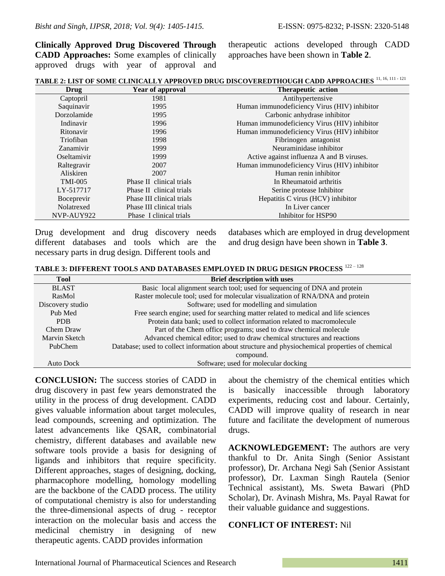**Clinically Approved Drug Discovered Through CADD Approaches:** Some examples of clinically approved drugs with year of approval and therapeutic actions developed through CADD approaches have been shown in **Table 2**.

| TABLE 2: LIST OF SOME CLINICALLY APPROVED DRUG DISCOVEREDTHOUGH CADD APPROACHES 11, 16, 111 - 121 |
|---------------------------------------------------------------------------------------------------|
|---------------------------------------------------------------------------------------------------|

| Drug           | Year of approval          | Therapeutic action                           |
|----------------|---------------------------|----------------------------------------------|
| Captopril      | 1981                      | Antihypertensive                             |
| Saquinavir     | 1995                      | Human immunodeficiency Virus (HIV) inhibitor |
| Dorzolamide    | 1995                      | Carbonic anhydrase inhibitor                 |
| Indinavir      | 1996                      | Human immunodeficiency Virus (HIV) inhibitor |
| Ritonavir      | 1996                      | Human immunodeficiency Virus (HIV) inhibitor |
| Triofiban      | 1998                      | Fibrinogen antagonist                        |
| Zanamivir      | 1999                      | Neuraminidase inhibitor                      |
| Oseltamivir    | 1999                      | Active against influenza A and B viruses.    |
| Raltegravir    | 2007                      | Human immunodeficiency Virus (HIV) inhibitor |
| Aliskiren      | 2007                      | Human renin inhibitor                        |
| <b>TMI-005</b> | Phase II clinical trials  | In Rheumatoid arthritis                      |
| LY-517717      | Phase II clinical trials  | Serine protease Inhibitor                    |
| Boceprevir     | Phase III clinical trials | Hepatitis C virus (HCV) inhibitor            |
| Nolatrexed     | Phase III clinical trials | In Liver cancer                              |
| NVP-AUY922     | Phase I clinical trials   | Inhibitor for HSP90                          |

Drug development and drug discovery needs different databases and tools which are the necessary parts in drug design. Different tools and

databases which are employed in drug development and drug design have been shown in **Table 3**.

| TABLE 3: DIFFERENT TOOLS AND DATABASES EMPLOYED IN DRUG DESIGN PROCESS <sup>122-128</sup> |  |  |
|-------------------------------------------------------------------------------------------|--|--|
|-------------------------------------------------------------------------------------------|--|--|

| <b>Tool</b>      | <b>Brief description with uses</b>                                                              |
|------------------|-------------------------------------------------------------------------------------------------|
| <b>BLAST</b>     | Basic local alignment search tool; used for sequencing of DNA and protein                       |
| RasMol           | Raster molecule tool; used for molecular visualization of RNA/DNA and protein                   |
| Discovery studio | Software; used for modelling and simulation                                                     |
| Pub Med          | Free search engine; used for searching matter related to medical and life sciences              |
| PDB              | Protein data bank; used to collect information related to macromolecule                         |
| Chem Draw        | Part of the Chem office programs; used to draw chemical molecule                                |
| Marvin Sketch    | Advanced chemical editor; used to draw chemical structures and reactions                        |
| PubChem          | Database; used to collect information about structure and physiochemical properties of chemical |
|                  | compound.                                                                                       |
| Auto Dock        | Software; used for molecular docking                                                            |

**CONCLUSION:** The success stories of CADD in drug discovery in past few years demonstrated the utility in the process of drug development. CADD gives valuable information about target molecules, lead compounds, screening and optimization. The latest advancements like QSAR, combinatorial chemistry, different databases and available new software tools provide a basis for designing of ligands and inhibitors that require specificity. Different approaches, stages of designing, docking, pharmacophore modelling, homology modelling are the backbone of the CADD process. The utility of computational chemistry is also for understanding the three-dimensional aspects of drug - receptor interaction on the molecular basis and access the medicinal chemistry in designing of new therapeutic agents. CADD provides information

about the chemistry of the chemical entities which is basically inaccessible through laboratory experiments, reducing cost and labour. Certainly, CADD will improve quality of research in near future and facilitate the development of numerous drugs.

**ACKNOWLEDGEMENT:** The authors are very thankful to Dr. Anita Singh (Senior Assistant professor), Dr. Archana Negi Sah (Senior Assistant professor), Dr. Laxman Singh Rautela (Senior Technical assistant), Ms. Sweta Bawari (PhD Scholar), Dr. Avinash Mishra, Ms. Payal Rawat for their valuable guidance and suggestions.

## **CONFLICT OF INTEREST:** Nil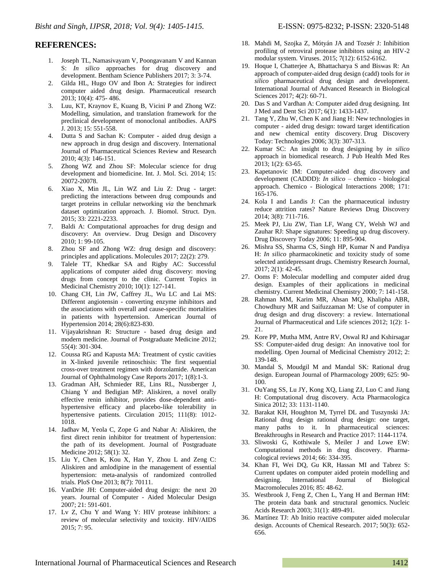### **REFERENCES:**

- 1. Joseph TL, Namasivayam V, Poongavanam V and Kannan S: *In silico* approaches for drug discovery and development. Bentham Science Publishers 2017; 3: 3-74.
- 2. Gilda HL, Hugo OV and Ibon A: Strategies for indirect computer aided drug design. Pharmaceutical research 2013; 10(4): 475- 486.
- 3. Luu, KT, Kraynov E, Kuang B, Vicini P and Zhong WZ: Modelling, simulation, and translation framework for the preclinical development of monoclonal antibodies. AAPS J. 2013; 15: 551-558.
- 4. Dutta S and Sachan K: Computer aided drug design a new approach in drug design and discovery. International Journal of Pharmaceutical Sciences Review and Research 2010; 4(3): 146-151.
- 5. Zhong WZ and Zhou SF: Molecular science for drug development and biomedicine. Int. J. Mol. Sci. 2014; 15: 20072-20078.
- 6. Xiao X, Min JL, Lin WZ and Liu Z: Drug target: predicting the interactions between drug compounds and target proteins in cellular networking *via* the benchmark dataset optimization approach. J. Biomol. Struct. Dyn. 2015; 33: 2221-2233.
- 7. Baldi A: Computational approaches for drug design and discovery: An overview. Drug Design and Discovery 2010; 1: 99-105.
- 8. Zhou SF and Zhong WZ: drug design and discovery: principles and applications. Molecules 2017; 22(2): 279.
- 9. Talele TT, Khedkar SA and Rigby AC: Successful applications of computer aided drug discovery: moving drugs from concept to the clinic. Current Topics in Medicinal Chemistry 2010; 10(1): 127-141.
- 10. Chang CH, Lin JW, Caffrey JL, Wu LC and Lai MS: Different angiotensin - converting enzyme inhibitors and the associations with overall and cause-specific mortalities in patients with hypertension. American Journal of Hypertension 2014; 28(6):823-830.
- 11. Vijayakrishnan R: Structure based drug design and modern medicine. Journal of Postgraduate Medicine 2012; 55(4): 301-304.
- 12. Coussa RG and Kapusta MA: Treatment of cystic cavities in X-linked juvenile retinoschisis: The first sequential cross-over treatment regimen with dorzolamide. American Journal of Ophthalmology Case Reports 2017; 1(8):1-3.
- 13. Gradman AH, Schmieder RE, Lins RL, Nussberger J, Chiang Y and Bedigian MP: Aliskiren, a novel orally effective renin inhibitor, provides dose-dependent antihypertensive efficacy and placebo-like tolerability in hypertensive patients. Circulation 2015; 111(8): 1012-1018.
- 14. Jadhav M, Yeola C, Zope G and Nabar A: Aliskiren, the first direct renin inhibitor for treatment of hypertension: the path of its development. Journal of Postgraduate Medicine 2012; 58(1): 32.
- 15. Liu Y, Chen K, Kou X, Han Y, Zhou L and Zeng C: Aliskiren and amlodipine in the management of essential hypertension: meta-analysis of randomized controlled trials. PloS One 2013; 8(7): 70111.
- 16. VanDrie JH: Computer-aided drug design: the next 20 years. Journal of Computer - Aided Molecular Design 2007; 21: 591-601.
- 17. Lv Z, Chu Y and Wang Y: HIV protease inhibitors: a review of molecular selectivity and toxicity. HIV/AIDS 2015; 7: 95.
- 18. Mahdi M, Szojka Z, Mótyán JA and Tozsér J: Inhibition profiling of retroviral protease inhibitors using an HIV-2 modular system. Viruses. 2015; 7(12): 6152-6162.
- 19. Hoque I, Chatterjee A, Bhattacharya S and Biswas R: An approach of computer-aided drug design (cadd) tools for *in silico* pharmaceutical drug design and development. International Journal of Advanced Research in Biological Sciences 2017; 4(2): 60-71.
- 20. Das S and Vardhan A: Computer aided drug designing. Int J Med and Dent Sci 2017; 6(1): 1433-1437.
- 21. Tang Y, Zhu W, Chen K and Jiang H: New technologies in computer - aided drug design: toward target identification and new chemical entity discovery. Drug Discovery Today: Technologies 2006; 3(3): 307-313.
- 22. Kumar SC: An insight to drug designing by *in silico* approach in biomedical research. J Pub Health Med Res 2013; 1(2): 63-65.
- 23. Kapetanovic IM: Computer-aided drug discovery and development (CADDD): *In silico* – chemico - biological approach. Chemico - Biological Interactions 2008; 171: 165-176.
- 24. Kola I and Landis J: Can the pharmaceutical industry reduce attrition rates? Nature Reviews Drug Discovery 2014; 3(8): 711-716.
- 25. Meek PJ, Liu ZW, Tian LF, Wang CY, Welsh WJ and Zauhar RJ: Shape signatures: Speeding up drug discovery. Drug Discovery Today 2006; 11: 895-904.
- 26. Mishra SS, Sharma CS, Singh HP, Kumar N and Pandiya H: *In silico* pharmacokinetic and toxicity study of some selected antidepressant drugs. Chemistry Research Journal, 2017; 2(1): 42-45.
- 27. Ooms F: Molecular modelling and computer aided drug design. Examples of their applications in medicinal chemistry. Current Medicinal Chemistry 2000; 7: 141-158.
- 28. Rahman MM, Karim MR, Ahsan MQ, Khalipha ABR, Chowdhury MR and Saifuzzaman M: Use of computer in drug design and drug discovery: a review. International Journal of Pharmaceutical and Life sciences 2012; 1(2): 1- 21.
- 29. Kore PP, Mutha MM, Antre RV, Oswal RJ and Kshirsagar SS: Computer-aided drug design: An innovative tool for modelling. Open Journal of Medicinal Chemistry 2012; 2: 139-148.
- 30. Mandal S, Moudgil M and Mandal SK: Rational drug design. European Journal of Pharmacology 2009; 625: 90- 100.
- 31. OuYang SS, Lu JY, Kong XQ, Liang ZJ, Luo C and Jiang H: Computational drug discovery. Acta Pharmacologica Sinica 2012; 33: 1131-1140.
- 32. Barakat KH, Houghton M, Tyrrel DL and Tuszynski JA: Rational drug design rational drug design: one target, many paths to it. In pharmaceutical sciences: Breakthroughs in Research and Practice 2017: 1144-1174.
- 33. Sliwoski G, Kothiwale S, Meiler J and Lowe EW: Computational methods in drug discovery. Pharmacological reviews 2014; 66: 334-395.
- 34. Khan FI, Wei DQ, Gu KR, Hassan MI and Tabrez S: Current updates on computer aided protein modelling and designing. International Journal of Biological Macromolecules 2016; 85: 48-62.
- 35. Westbrook J, Feng Z, Chen L, Yang H and Berman HM: The protein data bank and structural genomics. Nucleic Acids Research 2003; 31(1): 489-491.
- 36. Martínez TJ: Ab Initio reactive computer aided molecular design. Accounts of Chemical Research. 2017; 50(3): 652- 656.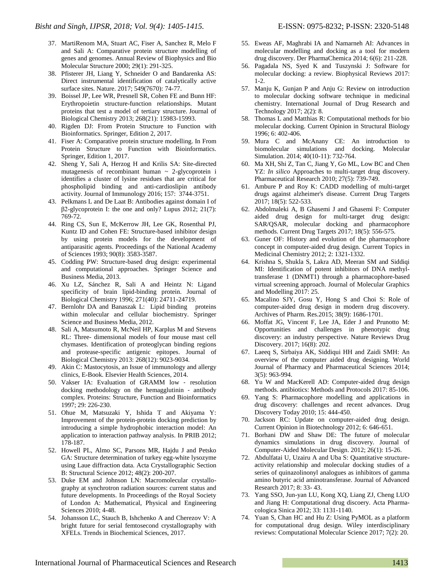- 37. MartiRenom MA, Stuart AC, Fiser A, Sanchez R, Melo F and Sali A: Comparative protein structure modelling of genes and genomes. Annual Review of Biophysics and Bio Molecular Structure 2000; 29(1): 291-325.
- 38. Pfisterer JH, Liang Y, Schneider O and Bandarenka AS: Direct instrumental identification of catalytically active surface sites. Nature. 2017; 549(7670): 74-77.
- 39. Boissel JP, Lee WR, Presnell SR, Cohen FE and Bunn HF: Erythropoietin structure-function relationships. Mutant proteins that test a model of tertiary structure. Journal of Biological Chemistry 2013; 268(21): 15983-15993.
- 40. Rigden DJ: From Protein Structure to Function with Bioinformatics. Springer, Edition 2, 2017.
- 41. Fiser A: Comparative protein structure modelling. In From Protein Structure to Function with Bioinformatics. Springer, Edition 1, 2017.
- 42. Sheng Y, Sali A, Herzog H and Krilis SA: Site-directed mutagenesis of recombinant human  $\sim$  2-glycoprotein i identifies a cluster of lysine residues that are critical for phospholipid binding and anti-cardioslipin antibody activity. Journal of Immunology 2016; 157: 3744-3751.
- 43. Pelkmans L and De Laat B: Antibodies against domain I of β2-glycoprotein I: the one and only? Lupus 2012; 21(7): 769-72.
- 44. Ring CS, Sun E, McKerrow JH, Lee GK, Rosenthal PJ, Kuntz ID and Cohen FE: Structure-based inhibitor design by using protein models for the development of antiparasitic agents. Proceedings of the National Academy of Sciences 1993; 90(8): 3583-3587.
- 45. Codding PW: Structure-based drug design: experimental and computational approaches. Springer Science and Business Media, 2013.
- 46. Xu LZ, Sánchez R, Sali A and Heintz N: Ligand specificity of brain lipid-binding protein. Journal of Biological Chemistry 1996; 271(40): 24711-24719.
- 47. Bernlohr DA and Banaszak L: Lipid binding proteins within molecular and cellular biochemistry. Springer Science and Business Media, 2012.
- 48. Sali A, Matsumoto R, McNeil HP, Karplus M and Stevens RL: Three- dimensional models of four mouse mast cell chymases. Identification of proteoglycan binding regions and protease-specific antigenic epitopes. Journal of Biological Chemistry 2013: 268(12): 9023-9034.
- 49. Akin C: Mastocytosis, an Issue of immunology and allergy clinics, E-Book. Elsevier Health Sciences, 2014.
- 50. Vakser IA: Evaluation of GRAMM low ‐ resolution docking methodology on the hemagglutinin ‐ antibody complex. Proteins: Structure, Function and Bioinformatics 1997; 29: 226-230.
- 51. Ohue M, Matsuzaki Y, Ishida T and Akiyama Y: Improvement of the protein-protein docking prediction by introducing a simple hydrophobic interaction model: An application to interaction pathway analysis. In PRIB 2012; 178-187.
- 52. Howell PL, Almo SC, Parsons MR, Hajdu J and Petsko GA: Structure determination of turkey egg-white lysozyme using Laue diffraction data. Acta Crystallographic Section B: Structural Science 2012; 48(2): 200-207.
- 53. Duke EM and Johnson LN: Macromolecular crystallography at synchrotron radiation sources: current status and future developments. In Proceedings of the Royal Society of London A: Mathematical, Physical and Engineering Sciences 2010; 4-48.
- 54. Johansson LC, Stauch B, Ishchenko A and Cherezov V: A bright future for serial femtosecond crystallography with XFELs. Trends in Biochemical Sciences, 2017.
- 55. Eweas AF, Maghrabi IA and Namarneh AI: Advances in molecular modelling and docking as a tool for modern
- drug discovery. Der PharmaChemica 2014; 6(6): 211-228. 56. Pagadala NS, Syed K and Tuszynski J: Software for molecular docking: a review. Biophysical Reviews 2017: 1-2.
- 57. Manju K, Gunjan P and Anju G: Review on introduction to molecular docking software technique in medicinal chemistry. International Journal of Drug Research and Technology 2017; 2(2): 8.
- 58. Thomas L and Matthias R: Computational methods for bio molecular docking. Current Opinion in Structural Biology 1996; 6: 402-406.
- 59. Mura C and McAnany CE: An introduction to biomolecular simulations and docking. Molecular Simulation. 2014; 40(10-11): 732-764.
- 60. Ma XH, Shi Z, Tan C, Jiang Y, Go ML, Low BC and Chen YZ: *In silico* Approaches to multi-target drug discovery. Pharmaceutical Research 2010; 27(5): 739-749.
- 61. Ambure P and Roy K: CADD modelling of multi-target drugs against alzheimer's disease. Current Drug Targets 2017; 18(5): 522-533.
- 62. Abdolmaleki A, B Ghasemi J and Ghasemi F: Computer aided drug design for multi-target drug design: SAR/QSAR, molecular docking and pharmacophore methods. Current Drug Targets 2017; 18(5): 556-575.
- 63. Guner OF: History and evolution of the pharmacophore concept in computer-aided drug design. Current Topics in Medicinal Chemistry 2012; 2: 1321-1332.
- 64. Krishna S, Shukla S, Lakra AD, Meeran SM and Siddiqi MI: Identification of potent inhibitors of DNA methyltransferase 1 (DNMT1) through a pharmacophore-based virtual screening approach. Journal of Molecular Graphics and Modelling 2017: 25.
- 65. Macalino SJY, Gosu Y, Hong S and Choi S: Role of computer-aided drug design in modern drug discovery. Archives of Pharm. Res.2015; 38(9): 1686-1701.
- 66. Moffat JG, Vincent F, Lee JA, Eder J and Prunotto M: Opportunities and challenges in phenotypic drug discovery: an industry perspective. Nature Reviews Drug Discovery. 2017; 16(8): 202.
- 67. Laeeq S, Sirbaiya AK, Siddiqui HH and Zaidi SMH: An overview of the computer aided drug designing. World Journal of Pharmacy and Pharmaceutical Sciences 2014; 3(5): 963-994.
- 68. Yu W and MacKerell AD: Computer-aided drug design methods. antibiotics: Methods and Protocols 2017: 85-106.
- 69. Yang S: Pharmacophore modelling and applications in drug discovery: challenges and recent advances. Drug Discovery Today 2010; 15: 444-450.
- 70. Jackson RC: Update on computer-aided drug design. Current Opinion in Biotechnology 2012; 6: 646-651.
- 71. Borhani DW and Shaw DE: The future of molecular dynamics simulations in drug discovery. Journal of Computer-Aided Molecular Design. 2012; 26(1): 15-26.
- 72. Abdulfatai U, Uzairu A and Uba S: Quantitative structureactivity relationship and molecular docking studies of a series of quinazolinonyl analogues as inhibitors of gamma amino butyric acid aminotransferase. Journal of Advanced Research 2017; 8: 33- 43.
- 73. Yang SSO, Jun-yan LU, Kong XQ, Liang ZJ, Cheng LUO and Jiang H: Computational drug discoery. Acta Pharmacologica Sinica 2012; 33: 1131-1140.
- 74. Yuan S, Chan HC and Hu Z: Using PyMOL as a platform for computational drug design. Wiley interdisciplinary reviews: Computational Molecular Science 2017; 7(2): 20.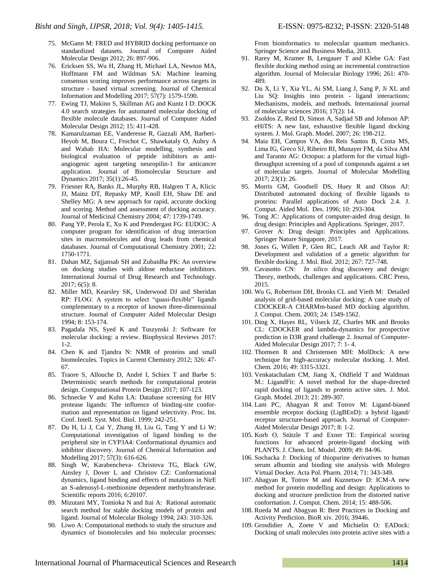- 75. McGann M: FRED and HYBRID docking performance on standardized datasets. Journal of Computer Aided Molecular Design 2012; 26: 897-906.
- 76. Ericksen SS, Wu H, Zhang H, Michael LA, Newton MA, Hoffmann FM and Wildman SA: Machine learning consensus scoring improves performance across targets in structure - based virtual screening. Journal of Chemical Information and Modelling 2017; 57(7): 1579-1590.
- 77. Ewing TJ, Makino S, Skillman AG and Kuntz I D: DOCK 4.0 search strategies for automated molecular docking of flexible molecule databases. Journal of Computer Aided Molecular Design 2012; 15: 411-428.
- 78. Kamarulzaman EE, Vanderesse R, Gazzali AM, Barberi-Heyob M, Boura C, Frochot C, Shawkataly O, Aubry A and Wahab HA: Molecular modelling, synthesis and biological evaluation of peptide inhibitors as antiangiogenic agent targeting neuropilin-1 for anticancer application. Journal of Biomolecular Structure and Dynamics 2017; 35(1):26-45.
- 79. Friesner RA, Banks JL, Murphy RB, Halgren T A, Klicic JJ, Mainz DT, Repasky MP, Knoll EH, Shaw DE and Shelley MG: A new approach for rapid, accurate docking and scoring. Method and assessment of docking accuracy. Journal of Medicinal Chemistry 2004; 47: 1739-1749.
- 80. Pang YP, Perola E, Xu K and Prendergast FG: EUDOC: A computer program for identification of drug interaction sites in macromolecules and drug leads from chemical databases. Journal of Computational Chemistry 2001; 22: 1750-1771.
- 81. Dahan MZ, Sajjansab SH and Zubaidha PK: An overview on docking studies with aldose reductase inhibitors. International Journal of Drug Research and Technology. 2017; 6(5): 8.
- 82. Miller MD, Kearsley SK, Underwood DJ and Sheridan RP: FLOG: A system to select "quasi-flexible" ligands complementary to a receptor of known three-dimensional structure. Journal of Computer Aided Molecular Design 1994; 8: 153-174.
- 83. Pagadala NS, Syed K and Tuszynski J: Software for molecular docking: a review. Biophysical Reviews 2017: 1-2.
- 84. Chen K and Tjandra N: NMR of proteins and small biomolecules. Topics in Current Chemistry 2012; 326: 47- 67.
- 85. Traore S, Allouche D, André I, Schiex T and Barbe S: Deterministic search methods for computational protein design. Computational Protein Design 2017; 107-123.
- 86. Schnecke V and Kuhn LA: Database screening for HIV protease ligands: The influence of binding-site conformation and representation on ligand selectivity. Proc. Int. Conf. Intell. Syst. Mol. Biol. 1999; 242-251.
- 87. Du H, Li J, Cai Y, Zhang H, Liu G, Tang Y and Li W: Computational investigation of ligand binding to the peripheral site in CYP3A4: Conformational dynamics and inhibitor discovery. Journal of Chemical Information and Modelling 2017; 57(3): 616-626.
- 88. Singh W, Karabencheva- Christova TG, Black GW, Ainsley J, Dover L and Christov CZ: Conformational dynamics, ligand binding and effects of mutations in NirE an S-adenosyl-L-methionine dependent methyltransferase. Scientific reports 2016; 6:20107.
- 89. Mizutani MY, Tomioka N and Itai A: Rational automatic search method for stable docking models of protein and ligand. Journal of Molecular Biology 1994; 243: 310-326.
- 90. Liwo A: Computational methods to study the structure and dynamics of biomolecules and bio molecular processes:

From bioinformatics to molecular quantum mechanics. Springer Science and Business Media, 2013.

- 91. Rarey M, Kramer B, Lengauer T and Klebe GA: Fast flexible docking method using an incremental construction algorithm. Journal of Molecular Biology 1996; 261: 470- 489.
- 92. Du X, Li Y, Xia YL, Ai SM, Liang J, Sang P, Ji XL and Liu SQ: Insights into protein - ligand interactions: Mechanisms, models, and methods. International journal of molecular sciences 2016; 17(2): 14.
- 93. Zsoldos Z, Reid D, Simon A, Sadjad SB and Johnson AP: eHiTS: A new fast, exhaustive flexible ligand docking system. J. Mol. Graph. Model. 2007; 26: 198-212.
- 94. Maia EH, Campos VA, dos Reis Santos B, Costa MS, Lima IG, Greco SJ, Ribeiro RI, Munayer FM, da Silva AM and Taranto AG: Octopus: a platform for the virtual highthroughput screening of a pool of compounds against a set of molecular targets. Journal of Molecular Modelling 2017; 23(1): 26.
- 95. Morris GM, Goodsell DS, Huey R and Olson AJ: Distributed automated docking of flexible ligands to proteins: Parallel applications of Auto Dock 2.4. J. Comput. Aided Mol. Des. 1996; 10: 293-304.
- 96. Tong JC: Applications of computer-aided drug design. In drug design: Principles and Applications. Springer, 2017.
- 97. Grover A: Drug design: Principles and Applications. Springer Nature Singapore, 2017.
- 98. Jones G, Willett P, Glen RC, Leach AR and Taylor R: Development and validation of a genetic algorithm for flexible docking. J. Mol. Biol. 2012; 267: 727-748.
- 99. Cavasotto CN: *In silico* drug discovery and design: Theory, methods, challenges and applications. CRC Press, 2015.
- 100. Wu G, Robertson DH, Brooks CL and Vieth M: Detailed analysis of grid-based molecular docking: A case study of CDOCKER-A CHARMm-based MD docking algorithm. J. Comput. Chem. 2003; 24: 1549-1562.
- 101. Ding X, Hayes RL, Vilseck JZ, Charles MK and Brooks CL: CDOCKER and lambda-dynamics for prospective prediction in D3R grand challenge 2. Journal of Computer-Aided Molecular Design 2017; 7: 1- 4.
- 102. Thomsen R and Christensen MH: MolDock: A new technique for high-accuracy molecular docking. J. Med. Chem. 2016; 49: 3315-3321.
- 103. Venkatachalam CM, Jiang X, Oldfield T and Waldman M.: LigandFit: A novel method for the shape-directed rapid docking of ligands to protein active sites. J. Mol. Graph. Model. 2013; 21: 289-307.
- 104. Lam PC, Abagyan R and Totrov M: Ligand-biased ensemble receptor docking (LigBEnD): a hybrid ligand/ receptor structure-based approach. Journal of Computer-Aided Molecular Design 2017; 8: 1-2.
- 105. Korb O, Stützle T and Exner TE: Empirical scoring functions for advanced protein-ligand docking with PLANTS. J. Chem. Inf. Model. 2009; 49: 84-96.
- 106. Sochacka J: Docking of thiopurine derivatives to human serum albumin and binding site analysis with Molegro Virtual Docker. Acta Pol. Pharm. 2014; 71: 343-349.
- 107. Abagyan R, Totrov M and Kuznetsov D: ICM-A new method for protein modelling and design: Applications to docking and structure prediction from the distorted native conformation. J. Comput. Chem. 2014; 15: 488-506.
- 108. Rueda M and Abagyan R: Best Practices in Docking and Activity Prediction. BioR xiv. 2016; 39446.
- 109. Grosdidier A, Zoete V and Michielin O: EADock: Docking of small molecules into protein active sites with a